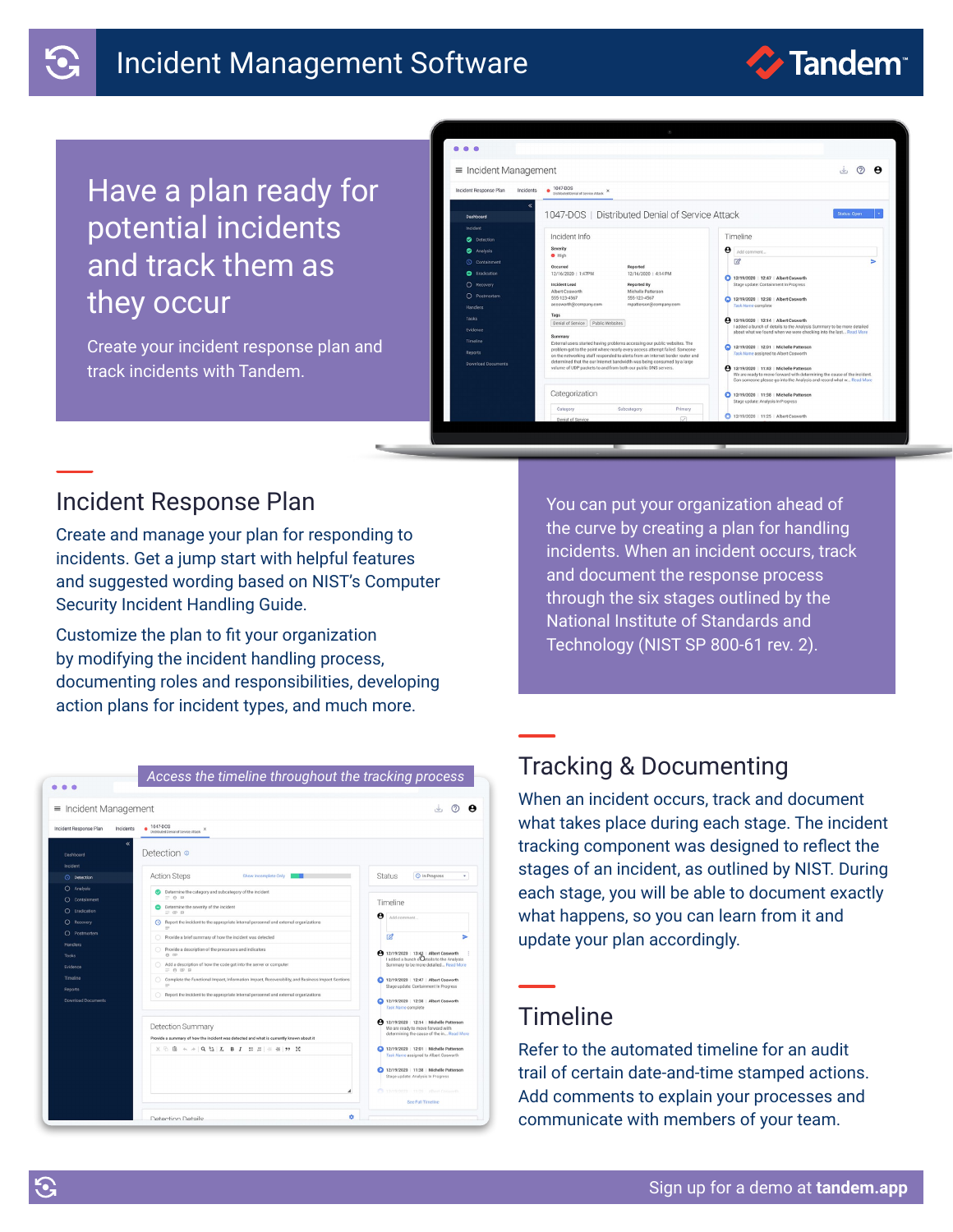# Incident Management Software



# Have a plan ready for potential incidents and track them as they occur

Create your incident response plan and track incidents with Tandem.



## Incident Response Plan

Create and manage your plan for responding to incidents. Get a jump start with helpful features and suggested wording based on NIST's Computer Security Incident Handling Guide.

Customize the plan to fit your organization by modifying the incident handling process, documenting roles and responsibilities, developing action plans for incident types, and much more.

You can put your organization ahead of the curve by creating a plan for handling incidents. When an incident occurs, track and document the response process through the six stages outlined by the National Institute of Standards and Technology (NIST SP 800-61 rev. 2).

| $\equiv$ Incident Management                    |                                                                                                                     | $\circ$<br>А<br>$\mathcal{A}$                                                                                             |  |
|-------------------------------------------------|---------------------------------------------------------------------------------------------------------------------|---------------------------------------------------------------------------------------------------------------------------|--|
| Incident Response Plan<br>Incidents             | 1047-DOS<br>۰<br>Distributed Denial of Service Attack                                                               |                                                                                                                           |  |
| Dashboard<br>Incident                           | Detection o                                                                                                         |                                                                                                                           |  |
| <b>C</b> Detection                              | <b>Action Steps</b><br>Show Incomplete Only                                                                         | Status<br><b>Q</b> In Progress<br>٠                                                                                       |  |
| Analysis<br>$\Omega$<br>$\Omega$<br>Containment | Determine the category and subcategory of the incident<br>$= 0 0$                                                   | Timeline                                                                                                                  |  |
| Eradication<br>◠                                | Determine the severity of the incident<br>$= 0.01$                                                                  |                                                                                                                           |  |
| $\Omega$<br>Recovery                            | Report the incident to the appropriate internal personnel and external organizations<br>$\equiv$                    | Θ<br>Add comment                                                                                                          |  |
| C Postmortem                                    | Provide a brief summary of how the incident was detected                                                            | 12<br>ь                                                                                                                   |  |
| <b>Handlers</b>                                 | Provide a description of the precursors and indicators                                                              | 4 12/19/2020   13:43   Albert Cosworth                                                                                    |  |
| Tasks<br>Evidence                               | $A \n\oplus$<br>Add a description of how the code got into the server or computer<br>$= 0$ $\vee$ $\theta$          | I added a bunch of rails to the Analysis<br>Summary to be more detailed Read More                                         |  |
| Timeline                                        | Complete the Functional Impact, Information Impact, Recoverability, and Business Impact Sections<br>$=$             | 12/19/2020   12:47   Albert Cosworth<br>Stage update: Containment In Progress                                             |  |
| <b>Reports</b><br>Download Documents            | Report the incident to the appropriate internal personnel and external organizations                                | 12/19/2020   12:38   Albert Cosworth<br>Task Name complete                                                                |  |
|                                                 | <b>Detection Summary</b><br>Provide a summary of how the incident was detected and what is currently known about it | 4 12/19/2020 12:14   Michelle Patterson<br>We are ready to move forward with<br>determining the cause of the in Read More |  |
|                                                 | $X \odot B \Leftrightarrow A$ Q $\xi_2$ $\chi$ B $I$ : $\pi$ $\pi$ $\pi$ $\pi$ $\eta$ $X$                           | 12/19/2020   12:01   Michelle Patterson                                                                                   |  |
|                                                 |                                                                                                                     | Task Name assigned to Albert Cosworth                                                                                     |  |
|                                                 |                                                                                                                     | 12/19/2020   11:38   Michelle Patterson<br>Stage update: Analysis In Progress                                             |  |
|                                                 | A                                                                                                                   | C 12/19/2020 11:25 Albert Convents                                                                                        |  |

# Tracking & Documenting

When an incident occurs, track and document what takes place during each stage. The incident tracking component was designed to reflect the stages of an incident, as outlined by NIST. During each stage, you will be able to document exactly what happens, so you can learn from it and update your plan accordingly.

## Timeline

Refer to the automated timeline for an audit trail of certain date-and-time stamped actions. Add comments to explain your processes and communicate with members of your team.